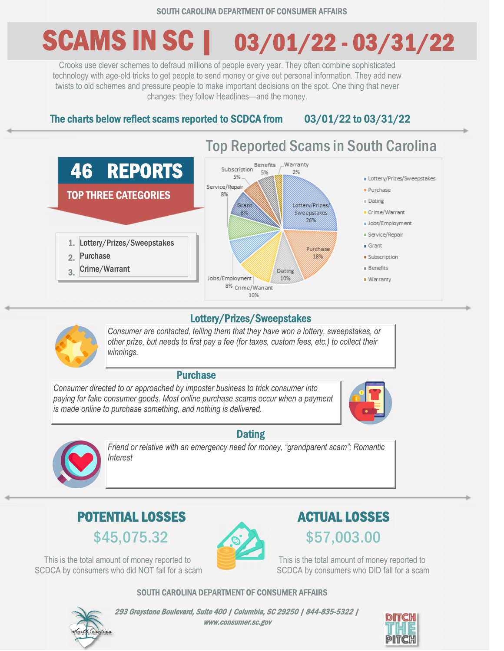# SCAMS IN SC | 03/01/22 - 03/31/22

Crooks use clever schemes to defraud millions of people every year. They often combine sophisticated technology with age-old tricks to get people to send money or give out personal information. They add new twists to old schemes and pressure people to make important decisions on the spot. One thing that never changes: they follow Headlines—and the money.

The charts below reflect scams reported to SCDCA from 03/01/22 to 03/31/22



#### Lottery/Prizes/Sweepstakes

*Consumer are contacted, telling them that they have won a lottery, sweepstakes, or other prize, but needs to first pay a fee (for taxes, custom fees, etc.) to collect their winnings.*

#### Purchase

*Consumer directed to or approached by imposter business to trick consumer into paying for fake consumer goods. Most online purchase scams occur when a payment is made online to purchase something, and nothing is delivered.*



### **Dating**



*Friend or relative with an emergency need for money, "grandparent scam"; Romantic Interest*

### $$45,075.32$  \$57,003.00 POTENTIAL LOSSES ACTUAL LOSSES

This is the total amount of money reported to SCDCA by consumers who did NOT fall for a scam



This is the total amount of money reported to SCDCA by consumers who DID fall for a scam

SOUTH CAROLINA DEPARTMENT OF CONSUMER AFFAIRS



293 Greystone Boulevard, Suite 400 | Columbia, SC 29250 | 844-835-5322 | www.consumer.sc.gov